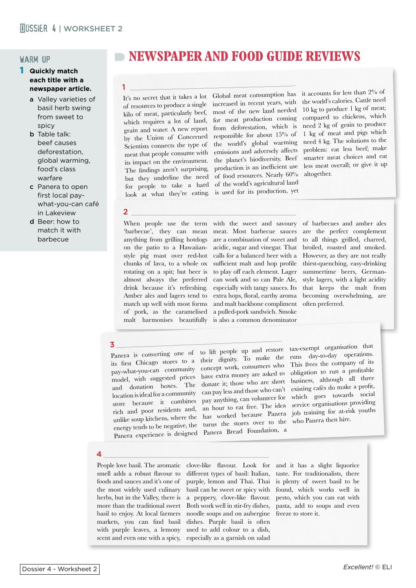# warm up

#### 1 **Quickly match each title with a newspaper article.**

- a Valley varieties of basil herb swing from sweet to spicy
- **b** Table talk: beef causes deforestation, global warming, food's class warfare
- c Panera to open first local paywhat-you-can café in Lakeview
- d Beer: how to match it with barbecue

# **NEWSPAPER AND FOOD GUIDE REVIEWS**

It's no secret that it takes a lot of resources to produce a single kilo of meat, particularly beef, which requires a lot of land, grain and water. A new report by the Union of Concerned Scientists connects the type o<sup>f</sup> meat that people consume with its impact on the environment. The findings aren't surprising, but they underline the need for people to take a hard look at what they're eating.

Global meat consumption has increased in recent years, with most of the new land needed for meat production coming from deforestation, which is responsible for about 15% of the world's global warming emissions and adversely affects the planet's biodiversity. Beef production is an inefficient use of food resources. Nearly 60% of the world's agricultural land is used for its production, yet \_\_\_\_\_\_\_\_\_\_\_\_\_\_\_\_\_\_\_\_\_\_\_\_\_\_\_\_\_\_\_\_\_\_\_\_\_\_\_\_\_\_\_

it accounts for less than 2% of the world's calories. Cattle need 10 kg to produce 1 kg of meat; compared to chickens, which need 2 kg of grain to produce 1 kg of meat and pigs which need 4 kg. The solutions to the problem: eat less beef; make smarter meat choices and eat less meat overall; or give it up altogether.

#### 2  $\frac{2}{2}$  . The contract of  $\frac{1}{2}$

1

When people use the term 'barbecue', they can mean anything from grilling hotdogs on the patio to a Hawaiianstyle pig roast over red-hot chunks of lava, to a whole ox rotating on a spit; but beer is almost always the preferred drink because it's refreshing. Amber ales and lagers tend to match up well with most forms of pork, as the caramelised malt harmonises beautifully

with the sweet and savoury meat. Most barbecue sauces are a combination of sweet and acidic, sugar and vinegar. That calls for a balanced beer with a sufficient malt and hop profile to play off each element. Lager can work and so can Pale Ale, especially with tangy sauces. Its extra hops, floral, earthy aroma and malt backbone compliment a pulled-pork sandwich. Smoke is also a common denominator

of barbecues and amber ales are the perfect complement to all things grilled, charred, broiled, roasted and smoked. However, as they are not really thirst-quenching, easy-drinking summertime beers, Germanstyle lagers, with a light acidity that keeps the malt from becoming overwhelming, are often preferred.

its first Chicago stores to a their dignity. To make the the first Cancel contract to the concept work, consumers who pay-what-you-can community concept work, consumers who Panera experience is designed Panera Bread Foundation, a

Panera is converting one of to lift people up and restore pay-what-you-can community<br>model, with suggested prices have extra money are asked to model, will suggested possible. and domation boxes. The can pay less and those who can't store because it combines pay anything, can volunteer for rich and poor residents and, an hour to eat free. The idea unlike soup kitchens, where the has worked because Panera energy tends to be negative, the turns the stores over to the 3 \_\_\_\_\_\_\_\_\_\_\_\_\_\_\_\_\_\_\_\_\_\_\_\_\_\_\_\_\_\_\_\_\_\_\_\_\_\_\_\_\_\_\_

tax-exempt organisation that runs day-to-day operations. This frees the company o<sup>f</sup> its obligation to run a profitable business, although all three existing cafés do make a profit, which goes towards social service organisations providing job training for at-risk youths who Panera then hire.

### 4 \_\_\_\_\_\_\_\_\_\_\_\_\_\_\_\_\_\_\_\_\_\_\_\_\_\_\_\_\_\_\_\_\_\_\_\_\_\_\_\_\_\_\_

People love basil. The aromatic smell adds a robust flavour to foods and sauces and it's one of the most widely used culinary herbs, but in the Valley, there is more than the traditional sweet basil to enjoy. At local farmers markets, you can find basil with purple leaves, a lemony scent and even one with a spicy,

clove-like flavour. Look for and it has a slight liquorice different types of basil: Italian, purple, lemon and Thai. Thai basil can be sweet or spicy with a peppery, clove-like flavour. Both work well in stir-fry dishes, noodle soups and on aubergine dishes. Purple basil is often used to add colour to a dish, especially as a garnish on salad

taste. For traditionalists, there is plenty of sweet basil to be found, which works well in pesto, which you can eat with pasta, add to soups and even freeze to store it.